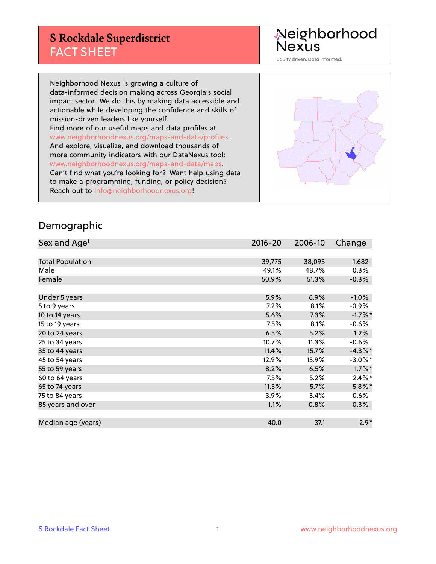#### **S Rockdale Superdistrict** FACT SHEET

Neighborhood<br>Nexus

Equity driven. Data informed.

Neighborhood Nexus is growing a culture of data-informed decision making across Georgia's social impact sector. We do this by making data accessible and actionable while developing the confidence and skills of mission-driven leaders like yourself. Find more of our useful maps and data profiles at www.neighborhoodnexus.org/maps-and-data/profiles. And explore, visualize, and download thousands of more community indicators with our DataNexus tool: www.neighborhoodnexus.org/maps-and-data/maps. Can't find what you're looking for? Want help using data to make a programming, funding, or policy decision? Reach out to [info@neighborhoodnexus.org!](mailto:info@neighborhoodnexus.org)



#### Demographic

| Sex and Age <sup>1</sup> | $2016 - 20$ | 2006-10 | Change     |
|--------------------------|-------------|---------|------------|
|                          |             |         |            |
| <b>Total Population</b>  | 39,775      | 38,093  | 1,682      |
| Male                     | 49.1%       | 48.7%   | 0.3%       |
| Female                   | 50.9%       | 51.3%   | $-0.3%$    |
|                          |             |         |            |
| Under 5 years            | 5.9%        | 6.9%    | $-1.0%$    |
| 5 to 9 years             | 7.2%        | 8.1%    | $-0.9\%$   |
| 10 to 14 years           | 5.6%        | 7.3%    | $-1.7%$ *  |
| 15 to 19 years           | 7.5%        | 8.1%    | $-0.6%$    |
| 20 to 24 years           | 6.5%        | 5.2%    | 1.2%       |
| 25 to 34 years           | 10.7%       | 11.3%   | $-0.6%$    |
| 35 to 44 years           | 11.4%       | 15.7%   | $-4.3\%$ * |
| 45 to 54 years           | 12.9%       | 15.9%   | $-3.0\%$ * |
| 55 to 59 years           | 8.2%        | 6.5%    | $1.7\%$ *  |
| 60 to 64 years           | 7.5%        | 5.2%    | $2.4\%$ *  |
| 65 to 74 years           | 11.5%       | 5.7%    | $5.8\%$ *  |
| 75 to 84 years           | $3.9\%$     | 3.4%    | 0.6%       |
| 85 years and over        | 1.1%        | 0.8%    | $0.3\%$    |
|                          |             |         |            |
| Median age (years)       | 40.0        | 37.1    | $2.9*$     |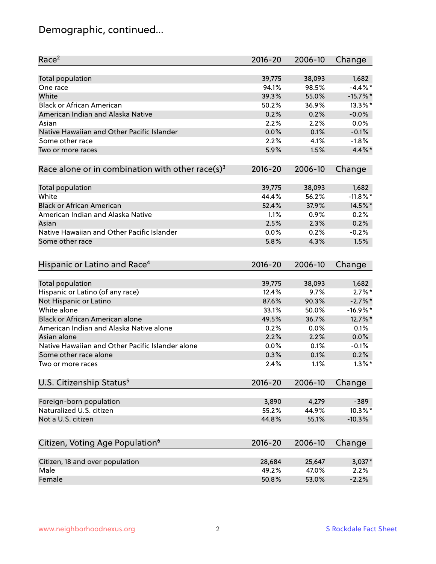# Demographic, continued...

| Race <sup>2</sup>                                            | $2016 - 20$ | 2006-10 | Change      |
|--------------------------------------------------------------|-------------|---------|-------------|
| <b>Total population</b>                                      | 39,775      | 38,093  | 1,682       |
| One race                                                     | 94.1%       | 98.5%   | $-4.4\%$ *  |
| White                                                        | 39.3%       | 55.0%   | $-15.7\%$ * |
| <b>Black or African American</b>                             | 50.2%       | 36.9%   | 13.3%*      |
| American Indian and Alaska Native                            | 0.2%        | 0.2%    | $-0.0%$     |
| Asian                                                        | 2.2%        | 2.2%    | 0.0%        |
| Native Hawaiian and Other Pacific Islander                   | 0.0%        | 0.1%    | $-0.1%$     |
| Some other race                                              | 2.2%        | 4.1%    | $-1.8%$     |
| Two or more races                                            | 5.9%        | 1.5%    | $4.4\%$ *   |
| Race alone or in combination with other race(s) <sup>3</sup> | $2016 - 20$ | 2006-10 | Change      |
|                                                              |             |         |             |
| Total population                                             | 39,775      | 38,093  | 1,682       |
| White                                                        | 44.4%       | 56.2%   | $-11.8\%$ * |
| <b>Black or African American</b>                             | 52.4%       | 37.9%   | 14.5%*      |
| American Indian and Alaska Native                            | 1.1%        | 0.9%    | 0.2%        |
| Asian                                                        | 2.5%        | 2.3%    | 0.2%        |
| Native Hawaiian and Other Pacific Islander                   | 0.0%        | 0.2%    | $-0.2%$     |
| Some other race                                              | 5.8%        | 4.3%    | 1.5%        |
|                                                              |             |         |             |
| Hispanic or Latino and Race <sup>4</sup>                     | $2016 - 20$ | 2006-10 | Change      |
| <b>Total population</b>                                      | 39,775      | 38,093  | 1,682       |
| Hispanic or Latino (of any race)                             | 12.4%       | 9.7%    | $2.7\%$ *   |
| Not Hispanic or Latino                                       | 87.6%       | 90.3%   | $-2.7\%$ *  |
| White alone                                                  | 33.1%       | 50.0%   | $-16.9%$ *  |
| Black or African American alone                              | 49.5%       | 36.7%   | 12.7%*      |
| American Indian and Alaska Native alone                      | 0.2%        | 0.0%    | 0.1%        |
| Asian alone                                                  | 2.2%        | 2.2%    | 0.0%        |
| Native Hawaiian and Other Pacific Islander alone             | 0.0%        | 0.1%    | $-0.1%$     |
| Some other race alone                                        | 0.3%        | 0.1%    | 0.2%        |
| Two or more races                                            | 2.4%        | 1.1%    | $1.3\%$ *   |
| U.S. Citizenship Status <sup>5</sup>                         | $2016 - 20$ | 2006-10 | Change      |
|                                                              |             |         |             |
| Foreign-born population                                      | 3,890       | 4,279   | $-389$      |
| Naturalized U.S. citizen                                     | 55.2%       | 44.9%   | 10.3%*      |
| Not a U.S. citizen                                           | 44.8%       | 55.1%   | $-10.3%$    |
|                                                              |             |         |             |
| Citizen, Voting Age Population <sup>6</sup>                  | $2016 - 20$ | 2006-10 | Change      |
| Citizen, 18 and over population                              | 28,684      | 25,647  | $3,037*$    |
| Male                                                         | 49.2%       | 47.0%   | 2.2%        |
| Female                                                       | 50.8%       | 53.0%   | $-2.2%$     |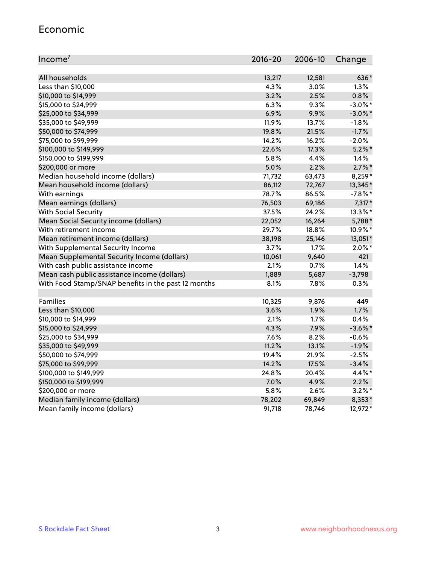#### Economic

| Income <sup>7</sup>                                 | $2016 - 20$ | 2006-10 | Change     |
|-----------------------------------------------------|-------------|---------|------------|
|                                                     |             |         |            |
| All households                                      | 13,217      | 12,581  | 636*       |
| Less than \$10,000                                  | 4.3%        | 3.0%    | 1.3%       |
| \$10,000 to \$14,999                                | 3.2%        | 2.5%    | 0.8%       |
| \$15,000 to \$24,999                                | 6.3%        | 9.3%    | $-3.0\%$ * |
| \$25,000 to \$34,999                                | 6.9%        | 9.9%    | $-3.0\%$ * |
| \$35,000 to \$49,999                                | 11.9%       | 13.7%   | $-1.8%$    |
| \$50,000 to \$74,999                                | 19.8%       | 21.5%   | $-1.7%$    |
| \$75,000 to \$99,999                                | 14.2%       | 16.2%   | $-2.0%$    |
| \$100,000 to \$149,999                              | 22.6%       | 17.3%   | $5.2\%$ *  |
| \$150,000 to \$199,999                              | 5.8%        | 4.4%    | 1.4%       |
| \$200,000 or more                                   | 5.0%        | 2.2%    | $2.7\%$ *  |
| Median household income (dollars)                   | 71,732      | 63,473  | 8,259*     |
| Mean household income (dollars)                     | 86,112      | 72,767  | 13,345*    |
| With earnings                                       | 78.7%       | 86.5%   | $-7.8%$ *  |
| Mean earnings (dollars)                             | 76,503      | 69,186  | $7,317*$   |
| <b>With Social Security</b>                         | 37.5%       | 24.2%   | 13.3%*     |
| Mean Social Security income (dollars)               | 22,052      | 16,264  | 5,788*     |
| With retirement income                              | 29.7%       | 18.8%   | 10.9%*     |
| Mean retirement income (dollars)                    | 38,198      | 25,146  | 13,051*    |
| With Supplemental Security Income                   | 3.7%        | $1.7\%$ | $2.0\%$ *  |
| Mean Supplemental Security Income (dollars)         | 10,061      | 9,640   | 421        |
| With cash public assistance income                  | 2.1%        | 0.7%    | 1.4%       |
| Mean cash public assistance income (dollars)        | 1,889       | 5,687   | $-3,798$   |
| With Food Stamp/SNAP benefits in the past 12 months | 8.1%        | 7.8%    | 0.3%       |
|                                                     |             |         |            |
| Families                                            | 10,325      | 9,876   | 449        |
| Less than \$10,000                                  | 3.6%        | 1.9%    | 1.7%       |
| \$10,000 to \$14,999                                | 2.1%        | 1.7%    | 0.4%       |
| \$15,000 to \$24,999                                | 4.3%        | 7.9%    | $-3.6\%$ * |
| \$25,000 to \$34,999                                | 7.6%        | 8.2%    | $-0.6%$    |
| \$35,000 to \$49,999                                | 11.2%       | 13.1%   | $-1.9%$    |
| \$50,000 to \$74,999                                | 19.4%       | 21.9%   | $-2.5%$    |
| \$75,000 to \$99,999                                | 14.2%       | 17.5%   | $-3.4%$    |
| \$100,000 to \$149,999                              | 24.8%       | 20.4%   | 4.4%*      |
| \$150,000 to \$199,999                              | 7.0%        | 4.9%    | 2.2%       |
| \$200,000 or more                                   | 5.8%        | 2.6%    | $3.2\%$ *  |
| Median family income (dollars)                      | 78,202      | 69,849  | 8,353*     |
| Mean family income (dollars)                        | 91,718      | 78,746  | 12,972*    |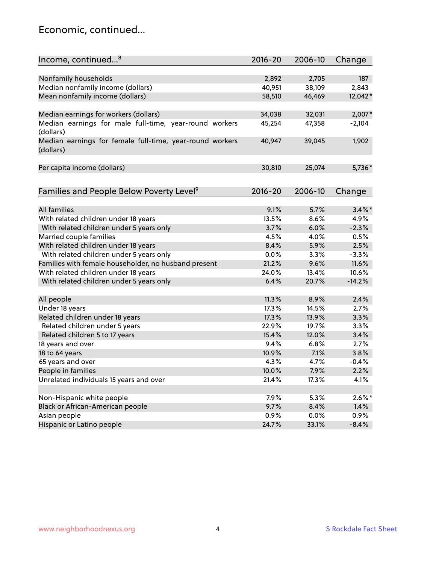#### Economic, continued...

| Income, continued <sup>8</sup>                                        | $2016 - 20$   | 2006-10      | Change           |
|-----------------------------------------------------------------------|---------------|--------------|------------------|
|                                                                       |               |              |                  |
| Nonfamily households                                                  | 2,892         | 2,705        | 187              |
| Median nonfamily income (dollars)                                     | 40,951        | 38,109       | 2,843            |
| Mean nonfamily income (dollars)                                       | 58,510        | 46,469       | 12,042*          |
| Median earnings for workers (dollars)                                 | 34,038        | 32,031       | $2,007*$         |
| Median earnings for male full-time, year-round workers                | 45,254        | 47,358       | $-2,104$         |
| (dollars)                                                             |               |              |                  |
| Median earnings for female full-time, year-round workers<br>(dollars) | 40,947        | 39,045       | 1,902            |
| Per capita income (dollars)                                           | 30,810        | 25,074       | 5,736*           |
|                                                                       |               |              |                  |
| Families and People Below Poverty Level <sup>9</sup>                  | $2016 - 20$   | 2006-10      | Change           |
| <b>All families</b>                                                   | 9.1%          | 5.7%         | $3.4\%$ *        |
|                                                                       | 13.5%         | 8.6%         | 4.9%             |
| With related children under 18 years                                  | 3.7%          | 6.0%         | $-2.3%$          |
| With related children under 5 years only                              | 4.5%          |              |                  |
| Married couple families                                               |               | 4.0%         | 0.5%<br>2.5%     |
| With related children under 18 years                                  | 8.4%          | 5.9%         |                  |
| With related children under 5 years only                              | 0.0%<br>21.2% | 3.3%<br>9.6% | $-3.3%$<br>11.6% |
| Families with female householder, no husband present                  |               |              |                  |
| With related children under 18 years                                  | 24.0%         | 13.4%        | 10.6%            |
| With related children under 5 years only                              | 6.4%          | 20.7%        | $-14.2%$         |
| All people                                                            | 11.3%         | 8.9%         | 2.4%             |
| Under 18 years                                                        | 17.3%         | 14.5%        | 2.7%             |
| Related children under 18 years                                       | 17.3%         | 13.9%        | 3.3%             |
| Related children under 5 years                                        | 22.9%         | 19.7%        | 3.3%             |
| Related children 5 to 17 years                                        | 15.4%         | 12.0%        | 3.4%             |
| 18 years and over                                                     | 9.4%          | 6.8%         | 2.7%             |
| 18 to 64 years                                                        | 10.9%         | 7.1%         | 3.8%             |
| 65 years and over                                                     | 4.3%          | 4.7%         | $-0.4%$          |
| People in families                                                    | 10.0%         | 7.9%         | 2.2%             |
| Unrelated individuals 15 years and over                               | 21.4%         | 17.3%        | 4.1%             |
|                                                                       |               |              |                  |
| Non-Hispanic white people                                             | 7.9%          | 5.3%         | $2.6\%$ *        |
| Black or African-American people                                      | 9.7%          | 8.4%         | 1.4%             |
| Asian people                                                          | 0.9%          | 0.0%         | 0.9%             |
| Hispanic or Latino people                                             | 24.7%         | 33.1%        | $-8.4%$          |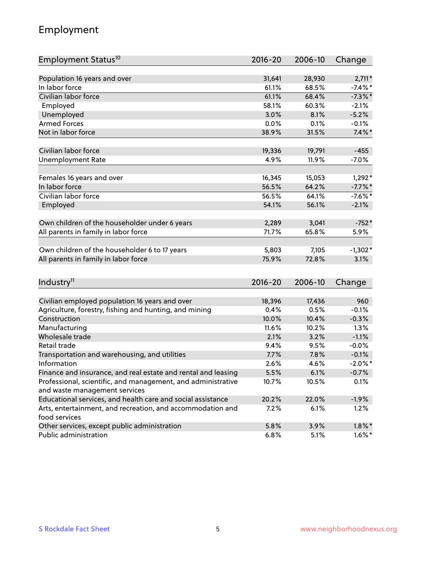## Employment

| Employment Status <sup>10</sup>                               | $2016 - 20$ | 2006-10 | Change     |
|---------------------------------------------------------------|-------------|---------|------------|
|                                                               |             |         |            |
| Population 16 years and over                                  | 31,641      | 28,930  | $2,711*$   |
| In labor force                                                | 61.1%       | 68.5%   | $-7.4\%$ * |
| Civilian labor force                                          | 61.1%       | 68.4%   | $-7.3\%$ * |
| Employed                                                      | 58.1%       | 60.3%   | $-2.1%$    |
| Unemployed                                                    | 3.0%        | 8.1%    | $-5.2%$    |
| <b>Armed Forces</b>                                           | 0.0%        | 0.1%    | $-0.1%$    |
| Not in labor force                                            | 38.9%       | 31.5%   | $7.4\%$ *  |
| Civilian labor force                                          | 19,336      | 19,791  | $-455$     |
|                                                               |             |         |            |
| <b>Unemployment Rate</b>                                      | 4.9%        | 11.9%   | $-7.0%$    |
| Females 16 years and over                                     | 16,345      | 15,053  | $1,292*$   |
| In labor force                                                | 56.5%       | 64.2%   | $-7.7%$ *  |
| Civilian labor force                                          | 56.5%       | 64.1%   | $-7.6\%$ * |
| Employed                                                      | 54.1%       | 56.1%   | $-2.1%$    |
|                                                               |             |         |            |
| Own children of the householder under 6 years                 | 2,289       | 3,041   | $-752*$    |
| All parents in family in labor force                          | 71.7%       | 65.8%   | 5.9%       |
|                                                               |             |         |            |
| Own children of the householder 6 to 17 years                 | 5,803       | 7,105   | $-1,302*$  |
| All parents in family in labor force                          | 75.9%       | 72.8%   | 3.1%       |
|                                                               |             |         |            |
| Industry <sup>11</sup>                                        | $2016 - 20$ | 2006-10 | Change     |
|                                                               |             |         |            |
| Civilian employed population 16 years and over                | 18,396      | 17,436  | 960        |
| Agriculture, forestry, fishing and hunting, and mining        | 0.4%        | 0.5%    | $-0.1%$    |
| Construction                                                  | 10.0%       | 10.4%   | $-0.3%$    |
| Manufacturing                                                 | 11.6%       | 10.2%   | 1.3%       |
| Wholesale trade                                               | 2.1%        | 3.2%    | $-1.1%$    |
| Retail trade                                                  | 9.4%        | 9.5%    | $-0.0%$    |
| Transportation and warehousing, and utilities                 | 7.7%        | 7.8%    | $-0.1%$    |
| Information                                                   | 2.6%        | 4.6%    | $-2.0\%$ * |
| Finance and insurance, and real estate and rental and leasing | 5.5%        | 6.1%    | $-0.7%$    |
| Professional, scientific, and management, and administrative  | 10.7%       | 10.5%   | 0.1%       |
| and waste management services                                 |             |         |            |
| Educational services, and health care and social assistance   | 20.2%       | 22.0%   | $-1.9%$    |
| Arts, entertainment, and recreation, and accommodation and    | 7.2%        | 6.1%    | 1.2%       |
| food services                                                 |             |         |            |
| Other services, except public administration                  | 5.8%        | 3.9%    | $1.8\%$ *  |
| Public administration                                         | 6.8%        | 5.1%    | $1.6\%$ *  |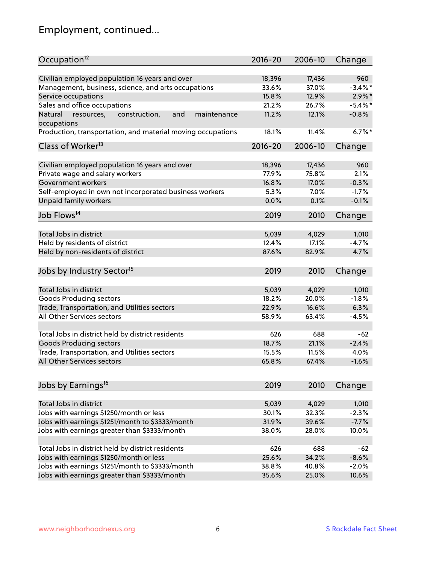# Employment, continued...

| Civilian employed population 16 years and over<br>18,396<br>17,436<br>Management, business, science, and arts occupations<br>37.0%<br>33.6%<br>15.8%<br>Service occupations<br>12.9%<br>Sales and office occupations<br>$-5.4\%$ *<br>21.2%<br>26.7%<br>11.2%<br>12.1%<br>$-0.8%$<br>Natural<br>and<br>resources,<br>construction,<br>maintenance<br>occupations<br>Production, transportation, and material moving occupations<br>18.1%<br>11.4% |  | 960        |
|---------------------------------------------------------------------------------------------------------------------------------------------------------------------------------------------------------------------------------------------------------------------------------------------------------------------------------------------------------------------------------------------------------------------------------------------------|--|------------|
|                                                                                                                                                                                                                                                                                                                                                                                                                                                   |  |            |
|                                                                                                                                                                                                                                                                                                                                                                                                                                                   |  | $-3.4\%$ * |
|                                                                                                                                                                                                                                                                                                                                                                                                                                                   |  | $2.9\%$ *  |
|                                                                                                                                                                                                                                                                                                                                                                                                                                                   |  |            |
|                                                                                                                                                                                                                                                                                                                                                                                                                                                   |  |            |
|                                                                                                                                                                                                                                                                                                                                                                                                                                                   |  |            |
|                                                                                                                                                                                                                                                                                                                                                                                                                                                   |  | $6.7%$ *   |
| Class of Worker <sup>13</sup><br>$2016 - 20$<br>2006-10                                                                                                                                                                                                                                                                                                                                                                                           |  | Change     |
| 18,396<br>17,436                                                                                                                                                                                                                                                                                                                                                                                                                                  |  | 960        |
| Civilian employed population 16 years and over                                                                                                                                                                                                                                                                                                                                                                                                    |  |            |
| Private wage and salary workers<br>77.9%<br>75.8%                                                                                                                                                                                                                                                                                                                                                                                                 |  | 2.1%       |
| 16.8%<br>Government workers<br>17.0%                                                                                                                                                                                                                                                                                                                                                                                                              |  | $-0.3%$    |
| Self-employed in own not incorporated business workers<br>5.3%<br>7.0%                                                                                                                                                                                                                                                                                                                                                                            |  | $-1.7%$    |
| Unpaid family workers<br>0.0%<br>0.1%                                                                                                                                                                                                                                                                                                                                                                                                             |  | $-0.1%$    |
| Job Flows <sup>14</sup><br>2019<br>2010                                                                                                                                                                                                                                                                                                                                                                                                           |  | Change     |
|                                                                                                                                                                                                                                                                                                                                                                                                                                                   |  |            |
| 5,039<br>Total Jobs in district<br>4,029                                                                                                                                                                                                                                                                                                                                                                                                          |  | 1,010      |
| Held by residents of district<br>12.4%<br>17.1%                                                                                                                                                                                                                                                                                                                                                                                                   |  | $-4.7%$    |
| Held by non-residents of district<br>87.6%<br>82.9%                                                                                                                                                                                                                                                                                                                                                                                               |  | 4.7%       |
| Jobs by Industry Sector <sup>15</sup><br>2019<br>2010                                                                                                                                                                                                                                                                                                                                                                                             |  | Change     |
|                                                                                                                                                                                                                                                                                                                                                                                                                                                   |  |            |
| 5,039<br>Total Jobs in district<br>4,029                                                                                                                                                                                                                                                                                                                                                                                                          |  | 1,010      |
| Goods Producing sectors<br>18.2%<br>20.0%                                                                                                                                                                                                                                                                                                                                                                                                         |  | $-1.8%$    |
| Trade, Transportation, and Utilities sectors<br>22.9%<br>16.6%                                                                                                                                                                                                                                                                                                                                                                                    |  | 6.3%       |
| All Other Services sectors<br>58.9%<br>63.4%                                                                                                                                                                                                                                                                                                                                                                                                      |  | $-4.5%$    |
| Total Jobs in district held by district residents<br>626<br>688                                                                                                                                                                                                                                                                                                                                                                                   |  | $-62$      |
| <b>Goods Producing sectors</b><br>18.7%<br>21.1%                                                                                                                                                                                                                                                                                                                                                                                                  |  | $-2.4%$    |
| Trade, Transportation, and Utilities sectors<br>15.5%<br>11.5%                                                                                                                                                                                                                                                                                                                                                                                    |  | 4.0%       |
| All Other Services sectors<br>65.8%<br>67.4%                                                                                                                                                                                                                                                                                                                                                                                                      |  | $-1.6%$    |
|                                                                                                                                                                                                                                                                                                                                                                                                                                                   |  |            |
| Jobs by Earnings <sup>16</sup><br>2019<br>2010                                                                                                                                                                                                                                                                                                                                                                                                    |  | Change     |
|                                                                                                                                                                                                                                                                                                                                                                                                                                                   |  |            |
| Total Jobs in district<br>5,039<br>4,029                                                                                                                                                                                                                                                                                                                                                                                                          |  | 1,010      |
| Jobs with earnings \$1250/month or less<br>30.1%<br>32.3%                                                                                                                                                                                                                                                                                                                                                                                         |  | $-2.3%$    |
| Jobs with earnings \$1251/month to \$3333/month<br>31.9%<br>39.6%                                                                                                                                                                                                                                                                                                                                                                                 |  | $-7.7%$    |
| Jobs with earnings greater than \$3333/month<br>38.0%<br>28.0%                                                                                                                                                                                                                                                                                                                                                                                    |  | 10.0%      |
| Total Jobs in district held by district residents<br>626<br>688                                                                                                                                                                                                                                                                                                                                                                                   |  | $-62$      |
| Jobs with earnings \$1250/month or less<br>25.6%<br>34.2%                                                                                                                                                                                                                                                                                                                                                                                         |  | $-8.6%$    |
| Jobs with earnings \$1251/month to \$3333/month<br>38.8%<br>40.8%                                                                                                                                                                                                                                                                                                                                                                                 |  | $-2.0%$    |
| Jobs with earnings greater than \$3333/month<br>35.6%<br>25.0%                                                                                                                                                                                                                                                                                                                                                                                    |  | 10.6%      |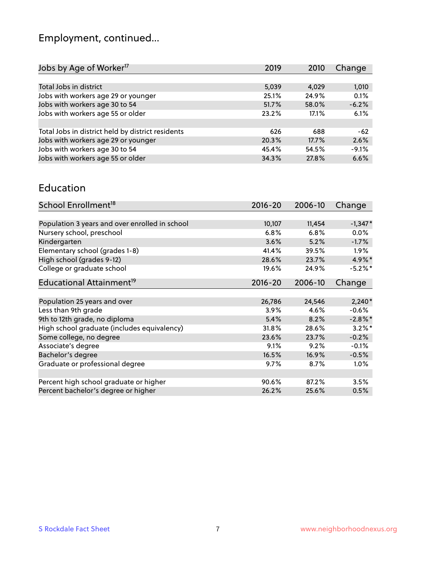# Employment, continued...

| Jobs by Age of Worker <sup>17</sup>               | 2019  | 2010  | Change  |
|---------------------------------------------------|-------|-------|---------|
|                                                   |       |       |         |
| Total Jobs in district                            | 5,039 | 4,029 | 1,010   |
| Jobs with workers age 29 or younger               | 25.1% | 24.9% | 0.1%    |
| Jobs with workers age 30 to 54                    | 51.7% | 58.0% | $-6.2%$ |
| Jobs with workers age 55 or older                 | 23.2% | 17.1% | 6.1%    |
|                                                   |       |       |         |
| Total Jobs in district held by district residents | 626   | 688   | $-62$   |
| Jobs with workers age 29 or younger               | 20.3% | 17.7% | 2.6%    |
| Jobs with workers age 30 to 54                    | 45.4% | 54.5% | $-9.1%$ |
| Jobs with workers age 55 or older                 | 34.3% | 27.8% | 6.6%    |

#### Education

| School Enrollment <sup>18</sup>                | $2016 - 20$ | 2006-10 | Change     |
|------------------------------------------------|-------------|---------|------------|
|                                                |             |         |            |
| Population 3 years and over enrolled in school | 10,107      | 11,454  | $-1,347*$  |
| Nursery school, preschool                      | 6.8%        | 6.8%    | $0.0\%$    |
| Kindergarten                                   | 3.6%        | 5.2%    | $-1.7\%$   |
| Elementary school (grades 1-8)                 | 41.4%       | 39.5%   | $1.9\%$    |
| High school (grades 9-12)                      | 28.6%       | 23.7%   | $4.9\%$ *  |
| College or graduate school                     | 19.6%       | 24.9%   | $-5.2%$ *  |
| Educational Attainment <sup>19</sup>           | $2016 - 20$ | 2006-10 | Change     |
|                                                |             |         |            |
| Population 25 years and over                   | 26,786      | 24,546  | $2,240*$   |
| Less than 9th grade                            | $3.9\%$     | 4.6%    | $-0.6%$    |
| 9th to 12th grade, no diploma                  | 5.4%        | 8.2%    | $-2.8\%$ * |
| High school graduate (includes equivalency)    | 31.8%       | 28.6%   | $3.2\%$ *  |
| Some college, no degree                        | 23.6%       | 23.7%   | $-0.2%$    |
| Associate's degree                             | 9.1%        | 9.2%    | $-0.1%$    |
| Bachelor's degree                              | 16.5%       | 16.9%   | $-0.5%$    |
| Graduate or professional degree                | 9.7%        | 8.7%    | $1.0\%$    |
|                                                |             |         |            |
| Percent high school graduate or higher         | 90.6%       | 87.2%   | 3.5%       |
| Percent bachelor's degree or higher            | 26.2%       | 25.6%   | 0.5%       |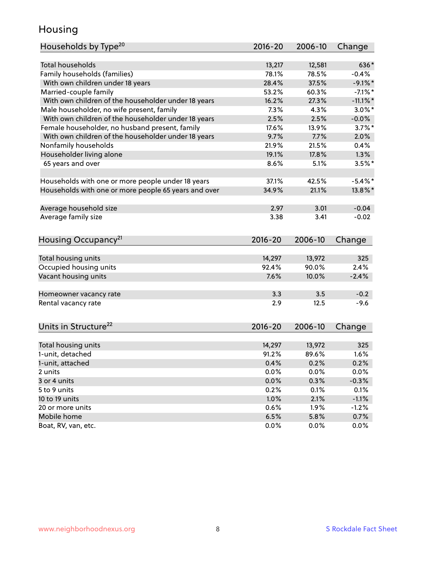## Housing

| Households by Type <sup>20</sup>                     | 2016-20      | 2006-10      | Change          |
|------------------------------------------------------|--------------|--------------|-----------------|
|                                                      |              |              |                 |
| Total households                                     | 13,217       | 12,581       | 636*            |
| Family households (families)                         | 78.1%        | 78.5%        | $-0.4%$         |
| With own children under 18 years                     | 28.4%        | 37.5%        | $-9.1\%$ *      |
| Married-couple family                                | 53.2%        | 60.3%        | $-7.1\%$ *      |
| With own children of the householder under 18 years  | 16.2%        | 27.3%        | $-11.1\%$ *     |
| Male householder, no wife present, family            | 7.3%         | 4.3%         | $3.0\%$ *       |
| With own children of the householder under 18 years  | 2.5%         | 2.5%         | $-0.0%$         |
| Female householder, no husband present, family       | 17.6%        | 13.9%        | $3.7\%$ *       |
| With own children of the householder under 18 years  | 9.7%         | 7.7%         | 2.0%            |
| Nonfamily households                                 | 21.9%        | 21.5%        | 0.4%            |
| Householder living alone                             | 19.1%        | 17.8%        | 1.3%            |
| 65 years and over                                    | 8.6%         | 5.1%         | $3.5%$ *        |
|                                                      |              |              |                 |
| Households with one or more people under 18 years    | 37.1%        | 42.5%        | $-5.4\%$ *      |
| Households with one or more people 65 years and over | 34.9%        | 21.1%        | 13.8%*          |
| Average household size                               | 2.97         | 3.01         | $-0.04$         |
| Average family size                                  | 3.38         | 3.41         | $-0.02$         |
|                                                      |              |              |                 |
| Housing Occupancy <sup>21</sup>                      | $2016 - 20$  | 2006-10      | Change          |
|                                                      |              |              |                 |
| Total housing units                                  | 14,297       | 13,972       | 325             |
| Occupied housing units                               | 92.4%        | 90.0%        | 2.4%            |
| Vacant housing units                                 | 7.6%         | 10.0%        | $-2.4%$         |
| Homeowner vacancy rate                               | 3.3          | 3.5          | $-0.2$          |
| Rental vacancy rate                                  | 2.9          | 12.5         | $-9.6$          |
|                                                      |              |              |                 |
| Units in Structure <sup>22</sup>                     | 2016-20      | 2006-10      | Change          |
| Total housing units                                  | 14,297       | 13,972       | 325             |
| 1-unit, detached                                     | 91.2%        | 89.6%        | 1.6%            |
| 1-unit, attached                                     | 0.4%         | 0.2%         | 0.2%            |
| 2 units                                              | 0.0%         | 0.0%         | 0.0%            |
| 3 or 4 units                                         | 0.0%         | 0.3%         | $-0.3%$         |
| 5 to 9 units                                         | 0.2%         | 0.1%         | 0.1%            |
|                                                      |              |              |                 |
| 10 to 19 units<br>20 or more units                   | 1.0%         | 2.1%         | $-1.1%$         |
| Mobile home                                          | 0.6%<br>6.5% | 1.9%<br>5.8% | $-1.2%$<br>0.7% |
| Boat, RV, van, etc.                                  | 0.0%         | $0.0\%$      | 0.0%            |
|                                                      |              |              |                 |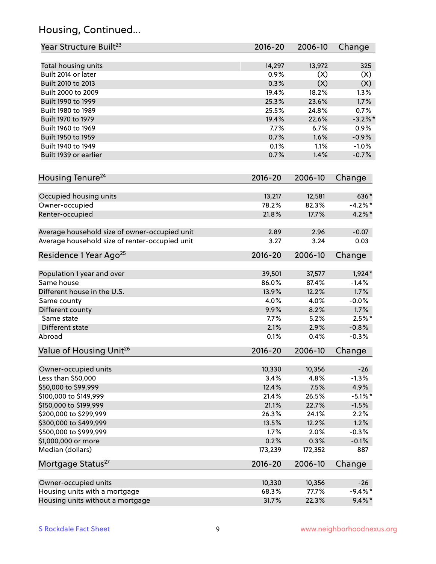## Housing, Continued...

| 14,297<br>13,972<br>Total housing units<br>325<br>Built 2014 or later<br>0.9%<br>(X)<br>(X)<br>Built 2010 to 2013<br>0.3%<br>(X)<br>(X)<br>Built 2000 to 2009<br>19.4%<br>18.2%<br>1.3%<br>25.3%<br>23.6%<br>1.7%<br>Built 1990 to 1999<br>Built 1980 to 1989<br>25.5%<br>24.8%<br>0.7%<br>Built 1970 to 1979<br>19.4%<br>22.6%<br>$-3.2\%$ *<br>Built 1960 to 1969<br>7.7%<br>6.7%<br>0.9%<br>Built 1950 to 1959<br>0.7%<br>1.6%<br>$-0.9%$<br>Built 1940 to 1949<br>0.1%<br>1.1%<br>$-1.0%$<br>0.7%<br>1.4%<br>$-0.7%$<br>Built 1939 or earlier<br>$2016 - 20$<br>2006-10<br>Change<br>Occupied housing units<br>13,217<br>12,581<br>636*<br>$-4.2%$ *<br>78.2%<br>82.3%<br>Owner-occupied<br>$4.2\%$ *<br>Renter-occupied<br>21.8%<br>17.7%<br>2.89<br>2.96<br>$-0.07$<br>3.27<br>3.24<br>0.03<br>$2016 - 20$<br>2006-10<br>Change<br>39,501<br>37,577<br>$1,924*$<br>86.0%<br>87.4%<br>$-1.4%$<br>1.7%<br>13.9%<br>12.2%<br>4.0%<br>$-0.0%$<br>4.0%<br>Same county<br>8.2%<br>9.9%<br>1.7%<br>Same state<br>7.7%<br>5.2%<br>$2.5%$ *<br>Different state<br>2.1%<br>2.9%<br>$-0.8%$<br>0.1%<br>0.4%<br>$-0.3%$<br>2016-20<br>2006-10<br>Change<br>Owner-occupied units<br>10,330<br>$-26$<br>10,356<br>Less than \$50,000<br>$-1.3%$<br>3.4%<br>4.8%<br>\$50,000 to \$99,999<br>12.4%<br>7.5%<br>4.9%<br>$-5.1\%$ *<br>\$100,000 to \$149,999<br>21.4%<br>26.5%<br>\$150,000 to \$199,999<br>21.1%<br>22.7%<br>$-1.5%$<br>\$200,000 to \$299,999<br>26.3%<br>24.1%<br>2.2%<br>13.5%<br>12.2%<br>1.2%<br>\$300,000 to \$499,999<br>\$500,000 to \$999,999<br>1.7%<br>2.0%<br>$-0.3%$<br>\$1,000,000 or more<br>0.2%<br>0.3%<br>$-0.1%$<br>Median (dollars)<br>173,239<br>172,352<br>887<br>$2016 - 20$<br>2006-10<br>Change<br>Owner-occupied units<br>10,330<br>10,356<br>$-26$<br>Housing units with a mortgage<br>$-9.4\%$ *<br>68.3%<br>77.7%<br>Housing units without a mortgage<br>$9.4\%*$<br>31.7%<br>22.3% | Year Structure Built <sup>23</sup>             | 2016-20 | 2006-10 | Change |
|-----------------------------------------------------------------------------------------------------------------------------------------------------------------------------------------------------------------------------------------------------------------------------------------------------------------------------------------------------------------------------------------------------------------------------------------------------------------------------------------------------------------------------------------------------------------------------------------------------------------------------------------------------------------------------------------------------------------------------------------------------------------------------------------------------------------------------------------------------------------------------------------------------------------------------------------------------------------------------------------------------------------------------------------------------------------------------------------------------------------------------------------------------------------------------------------------------------------------------------------------------------------------------------------------------------------------------------------------------------------------------------------------------------------------------------------------------------------------------------------------------------------------------------------------------------------------------------------------------------------------------------------------------------------------------------------------------------------------------------------------------------------------------------------------------------------------------------------------------------------------------------------------------------------------|------------------------------------------------|---------|---------|--------|
|                                                                                                                                                                                                                                                                                                                                                                                                                                                                                                                                                                                                                                                                                                                                                                                                                                                                                                                                                                                                                                                                                                                                                                                                                                                                                                                                                                                                                                                                                                                                                                                                                                                                                                                                                                                                                                                                                                                       |                                                |         |         |        |
|                                                                                                                                                                                                                                                                                                                                                                                                                                                                                                                                                                                                                                                                                                                                                                                                                                                                                                                                                                                                                                                                                                                                                                                                                                                                                                                                                                                                                                                                                                                                                                                                                                                                                                                                                                                                                                                                                                                       |                                                |         |         |        |
|                                                                                                                                                                                                                                                                                                                                                                                                                                                                                                                                                                                                                                                                                                                                                                                                                                                                                                                                                                                                                                                                                                                                                                                                                                                                                                                                                                                                                                                                                                                                                                                                                                                                                                                                                                                                                                                                                                                       |                                                |         |         |        |
|                                                                                                                                                                                                                                                                                                                                                                                                                                                                                                                                                                                                                                                                                                                                                                                                                                                                                                                                                                                                                                                                                                                                                                                                                                                                                                                                                                                                                                                                                                                                                                                                                                                                                                                                                                                                                                                                                                                       |                                                |         |         |        |
|                                                                                                                                                                                                                                                                                                                                                                                                                                                                                                                                                                                                                                                                                                                                                                                                                                                                                                                                                                                                                                                                                                                                                                                                                                                                                                                                                                                                                                                                                                                                                                                                                                                                                                                                                                                                                                                                                                                       |                                                |         |         |        |
|                                                                                                                                                                                                                                                                                                                                                                                                                                                                                                                                                                                                                                                                                                                                                                                                                                                                                                                                                                                                                                                                                                                                                                                                                                                                                                                                                                                                                                                                                                                                                                                                                                                                                                                                                                                                                                                                                                                       |                                                |         |         |        |
|                                                                                                                                                                                                                                                                                                                                                                                                                                                                                                                                                                                                                                                                                                                                                                                                                                                                                                                                                                                                                                                                                                                                                                                                                                                                                                                                                                                                                                                                                                                                                                                                                                                                                                                                                                                                                                                                                                                       |                                                |         |         |        |
|                                                                                                                                                                                                                                                                                                                                                                                                                                                                                                                                                                                                                                                                                                                                                                                                                                                                                                                                                                                                                                                                                                                                                                                                                                                                                                                                                                                                                                                                                                                                                                                                                                                                                                                                                                                                                                                                                                                       |                                                |         |         |        |
|                                                                                                                                                                                                                                                                                                                                                                                                                                                                                                                                                                                                                                                                                                                                                                                                                                                                                                                                                                                                                                                                                                                                                                                                                                                                                                                                                                                                                                                                                                                                                                                                                                                                                                                                                                                                                                                                                                                       |                                                |         |         |        |
|                                                                                                                                                                                                                                                                                                                                                                                                                                                                                                                                                                                                                                                                                                                                                                                                                                                                                                                                                                                                                                                                                                                                                                                                                                                                                                                                                                                                                                                                                                                                                                                                                                                                                                                                                                                                                                                                                                                       |                                                |         |         |        |
|                                                                                                                                                                                                                                                                                                                                                                                                                                                                                                                                                                                                                                                                                                                                                                                                                                                                                                                                                                                                                                                                                                                                                                                                                                                                                                                                                                                                                                                                                                                                                                                                                                                                                                                                                                                                                                                                                                                       |                                                |         |         |        |
|                                                                                                                                                                                                                                                                                                                                                                                                                                                                                                                                                                                                                                                                                                                                                                                                                                                                                                                                                                                                                                                                                                                                                                                                                                                                                                                                                                                                                                                                                                                                                                                                                                                                                                                                                                                                                                                                                                                       |                                                |         |         |        |
|                                                                                                                                                                                                                                                                                                                                                                                                                                                                                                                                                                                                                                                                                                                                                                                                                                                                                                                                                                                                                                                                                                                                                                                                                                                                                                                                                                                                                                                                                                                                                                                                                                                                                                                                                                                                                                                                                                                       | Housing Tenure <sup>24</sup>                   |         |         |        |
|                                                                                                                                                                                                                                                                                                                                                                                                                                                                                                                                                                                                                                                                                                                                                                                                                                                                                                                                                                                                                                                                                                                                                                                                                                                                                                                                                                                                                                                                                                                                                                                                                                                                                                                                                                                                                                                                                                                       |                                                |         |         |        |
|                                                                                                                                                                                                                                                                                                                                                                                                                                                                                                                                                                                                                                                                                                                                                                                                                                                                                                                                                                                                                                                                                                                                                                                                                                                                                                                                                                                                                                                                                                                                                                                                                                                                                                                                                                                                                                                                                                                       |                                                |         |         |        |
|                                                                                                                                                                                                                                                                                                                                                                                                                                                                                                                                                                                                                                                                                                                                                                                                                                                                                                                                                                                                                                                                                                                                                                                                                                                                                                                                                                                                                                                                                                                                                                                                                                                                                                                                                                                                                                                                                                                       |                                                |         |         |        |
|                                                                                                                                                                                                                                                                                                                                                                                                                                                                                                                                                                                                                                                                                                                                                                                                                                                                                                                                                                                                                                                                                                                                                                                                                                                                                                                                                                                                                                                                                                                                                                                                                                                                                                                                                                                                                                                                                                                       |                                                |         |         |        |
|                                                                                                                                                                                                                                                                                                                                                                                                                                                                                                                                                                                                                                                                                                                                                                                                                                                                                                                                                                                                                                                                                                                                                                                                                                                                                                                                                                                                                                                                                                                                                                                                                                                                                                                                                                                                                                                                                                                       | Average household size of owner-occupied unit  |         |         |        |
|                                                                                                                                                                                                                                                                                                                                                                                                                                                                                                                                                                                                                                                                                                                                                                                                                                                                                                                                                                                                                                                                                                                                                                                                                                                                                                                                                                                                                                                                                                                                                                                                                                                                                                                                                                                                                                                                                                                       | Average household size of renter-occupied unit |         |         |        |
|                                                                                                                                                                                                                                                                                                                                                                                                                                                                                                                                                                                                                                                                                                                                                                                                                                                                                                                                                                                                                                                                                                                                                                                                                                                                                                                                                                                                                                                                                                                                                                                                                                                                                                                                                                                                                                                                                                                       | Residence 1 Year Ago <sup>25</sup>             |         |         |        |
|                                                                                                                                                                                                                                                                                                                                                                                                                                                                                                                                                                                                                                                                                                                                                                                                                                                                                                                                                                                                                                                                                                                                                                                                                                                                                                                                                                                                                                                                                                                                                                                                                                                                                                                                                                                                                                                                                                                       |                                                |         |         |        |
|                                                                                                                                                                                                                                                                                                                                                                                                                                                                                                                                                                                                                                                                                                                                                                                                                                                                                                                                                                                                                                                                                                                                                                                                                                                                                                                                                                                                                                                                                                                                                                                                                                                                                                                                                                                                                                                                                                                       | Population 1 year and over                     |         |         |        |
|                                                                                                                                                                                                                                                                                                                                                                                                                                                                                                                                                                                                                                                                                                                                                                                                                                                                                                                                                                                                                                                                                                                                                                                                                                                                                                                                                                                                                                                                                                                                                                                                                                                                                                                                                                                                                                                                                                                       | Same house                                     |         |         |        |
|                                                                                                                                                                                                                                                                                                                                                                                                                                                                                                                                                                                                                                                                                                                                                                                                                                                                                                                                                                                                                                                                                                                                                                                                                                                                                                                                                                                                                                                                                                                                                                                                                                                                                                                                                                                                                                                                                                                       | Different house in the U.S.                    |         |         |        |
|                                                                                                                                                                                                                                                                                                                                                                                                                                                                                                                                                                                                                                                                                                                                                                                                                                                                                                                                                                                                                                                                                                                                                                                                                                                                                                                                                                                                                                                                                                                                                                                                                                                                                                                                                                                                                                                                                                                       |                                                |         |         |        |
|                                                                                                                                                                                                                                                                                                                                                                                                                                                                                                                                                                                                                                                                                                                                                                                                                                                                                                                                                                                                                                                                                                                                                                                                                                                                                                                                                                                                                                                                                                                                                                                                                                                                                                                                                                                                                                                                                                                       | Different county                               |         |         |        |
|                                                                                                                                                                                                                                                                                                                                                                                                                                                                                                                                                                                                                                                                                                                                                                                                                                                                                                                                                                                                                                                                                                                                                                                                                                                                                                                                                                                                                                                                                                                                                                                                                                                                                                                                                                                                                                                                                                                       |                                                |         |         |        |
|                                                                                                                                                                                                                                                                                                                                                                                                                                                                                                                                                                                                                                                                                                                                                                                                                                                                                                                                                                                                                                                                                                                                                                                                                                                                                                                                                                                                                                                                                                                                                                                                                                                                                                                                                                                                                                                                                                                       |                                                |         |         |        |
|                                                                                                                                                                                                                                                                                                                                                                                                                                                                                                                                                                                                                                                                                                                                                                                                                                                                                                                                                                                                                                                                                                                                                                                                                                                                                                                                                                                                                                                                                                                                                                                                                                                                                                                                                                                                                                                                                                                       | Abroad                                         |         |         |        |
|                                                                                                                                                                                                                                                                                                                                                                                                                                                                                                                                                                                                                                                                                                                                                                                                                                                                                                                                                                                                                                                                                                                                                                                                                                                                                                                                                                                                                                                                                                                                                                                                                                                                                                                                                                                                                                                                                                                       | Value of Housing Unit <sup>26</sup>            |         |         |        |
|                                                                                                                                                                                                                                                                                                                                                                                                                                                                                                                                                                                                                                                                                                                                                                                                                                                                                                                                                                                                                                                                                                                                                                                                                                                                                                                                                                                                                                                                                                                                                                                                                                                                                                                                                                                                                                                                                                                       |                                                |         |         |        |
|                                                                                                                                                                                                                                                                                                                                                                                                                                                                                                                                                                                                                                                                                                                                                                                                                                                                                                                                                                                                                                                                                                                                                                                                                                                                                                                                                                                                                                                                                                                                                                                                                                                                                                                                                                                                                                                                                                                       |                                                |         |         |        |
|                                                                                                                                                                                                                                                                                                                                                                                                                                                                                                                                                                                                                                                                                                                                                                                                                                                                                                                                                                                                                                                                                                                                                                                                                                                                                                                                                                                                                                                                                                                                                                                                                                                                                                                                                                                                                                                                                                                       |                                                |         |         |        |
|                                                                                                                                                                                                                                                                                                                                                                                                                                                                                                                                                                                                                                                                                                                                                                                                                                                                                                                                                                                                                                                                                                                                                                                                                                                                                                                                                                                                                                                                                                                                                                                                                                                                                                                                                                                                                                                                                                                       |                                                |         |         |        |
|                                                                                                                                                                                                                                                                                                                                                                                                                                                                                                                                                                                                                                                                                                                                                                                                                                                                                                                                                                                                                                                                                                                                                                                                                                                                                                                                                                                                                                                                                                                                                                                                                                                                                                                                                                                                                                                                                                                       |                                                |         |         |        |
|                                                                                                                                                                                                                                                                                                                                                                                                                                                                                                                                                                                                                                                                                                                                                                                                                                                                                                                                                                                                                                                                                                                                                                                                                                                                                                                                                                                                                                                                                                                                                                                                                                                                                                                                                                                                                                                                                                                       |                                                |         |         |        |
|                                                                                                                                                                                                                                                                                                                                                                                                                                                                                                                                                                                                                                                                                                                                                                                                                                                                                                                                                                                                                                                                                                                                                                                                                                                                                                                                                                                                                                                                                                                                                                                                                                                                                                                                                                                                                                                                                                                       |                                                |         |         |        |
|                                                                                                                                                                                                                                                                                                                                                                                                                                                                                                                                                                                                                                                                                                                                                                                                                                                                                                                                                                                                                                                                                                                                                                                                                                                                                                                                                                                                                                                                                                                                                                                                                                                                                                                                                                                                                                                                                                                       |                                                |         |         |        |
|                                                                                                                                                                                                                                                                                                                                                                                                                                                                                                                                                                                                                                                                                                                                                                                                                                                                                                                                                                                                                                                                                                                                                                                                                                                                                                                                                                                                                                                                                                                                                                                                                                                                                                                                                                                                                                                                                                                       |                                                |         |         |        |
|                                                                                                                                                                                                                                                                                                                                                                                                                                                                                                                                                                                                                                                                                                                                                                                                                                                                                                                                                                                                                                                                                                                                                                                                                                                                                                                                                                                                                                                                                                                                                                                                                                                                                                                                                                                                                                                                                                                       |                                                |         |         |        |
|                                                                                                                                                                                                                                                                                                                                                                                                                                                                                                                                                                                                                                                                                                                                                                                                                                                                                                                                                                                                                                                                                                                                                                                                                                                                                                                                                                                                                                                                                                                                                                                                                                                                                                                                                                                                                                                                                                                       |                                                |         |         |        |
|                                                                                                                                                                                                                                                                                                                                                                                                                                                                                                                                                                                                                                                                                                                                                                                                                                                                                                                                                                                                                                                                                                                                                                                                                                                                                                                                                                                                                                                                                                                                                                                                                                                                                                                                                                                                                                                                                                                       | Mortgage Status <sup>27</sup>                  |         |         |        |
|                                                                                                                                                                                                                                                                                                                                                                                                                                                                                                                                                                                                                                                                                                                                                                                                                                                                                                                                                                                                                                                                                                                                                                                                                                                                                                                                                                                                                                                                                                                                                                                                                                                                                                                                                                                                                                                                                                                       |                                                |         |         |        |
|                                                                                                                                                                                                                                                                                                                                                                                                                                                                                                                                                                                                                                                                                                                                                                                                                                                                                                                                                                                                                                                                                                                                                                                                                                                                                                                                                                                                                                                                                                                                                                                                                                                                                                                                                                                                                                                                                                                       |                                                |         |         |        |
|                                                                                                                                                                                                                                                                                                                                                                                                                                                                                                                                                                                                                                                                                                                                                                                                                                                                                                                                                                                                                                                                                                                                                                                                                                                                                                                                                                                                                                                                                                                                                                                                                                                                                                                                                                                                                                                                                                                       |                                                |         |         |        |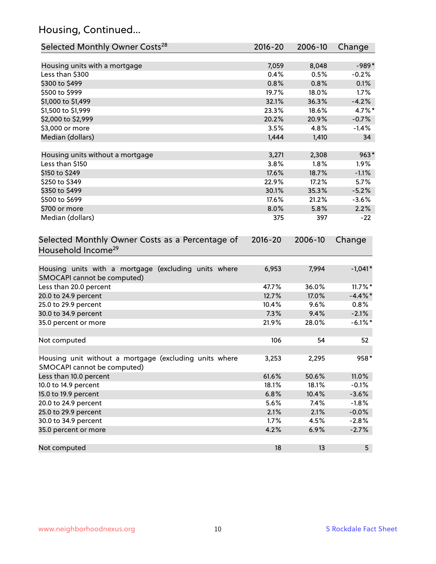## Housing, Continued...

| Selected Monthly Owner Costs <sup>28</sup>                                            | 2016-20     | 2006-10 | Change         |
|---------------------------------------------------------------------------------------|-------------|---------|----------------|
| Housing units with a mortgage                                                         | 7,059       | 8,048   | $-989*$        |
| Less than \$300                                                                       | 0.4%        | 0.5%    | $-0.2%$        |
| \$300 to \$499                                                                        | 0.8%        | 0.8%    | 0.1%           |
| \$500 to \$999                                                                        | 19.7%       | 18.0%   | 1.7%           |
| \$1,000 to \$1,499                                                                    | 32.1%       | 36.3%   | $-4.2%$        |
| \$1,500 to \$1,999                                                                    | 23.3%       | 18.6%   | 4.7%*          |
| \$2,000 to \$2,999                                                                    | 20.2%       | 20.9%   | $-0.7%$        |
| \$3,000 or more                                                                       | 3.5%        | 4.8%    | $-1.4%$        |
| Median (dollars)                                                                      | 1,444       | 1,410   | 34             |
| Housing units without a mortgage                                                      | 3,271       | 2,308   | $963*$         |
| Less than \$150                                                                       | 3.8%        | 1.8%    | 1.9%           |
| \$150 to \$249                                                                        | 17.6%       | 18.7%   | $-1.1%$        |
| \$250 to \$349                                                                        | 22.9%       | 17.2%   | 5.7%           |
| \$350 to \$499                                                                        | 30.1%       | 35.3%   | $-5.2%$        |
| \$500 to \$699                                                                        | 17.6%       | 21.2%   | $-3.6%$        |
| \$700 or more                                                                         | 8.0%        | 5.8%    | 2.2%           |
| Median (dollars)                                                                      | 375         | 397     | $-22$          |
| Selected Monthly Owner Costs as a Percentage of<br>Household Income <sup>29</sup>     | $2016 - 20$ | 2006-10 | Change         |
| Housing units with a mortgage (excluding units where<br>SMOCAPI cannot be computed)   | 6,953       | 7,994   | $-1,041*$      |
| Less than 20.0 percent                                                                | 47.7%       | 36.0%   | $11.7\%$ *     |
| 20.0 to 24.9 percent                                                                  | 12.7%       | 17.0%   | $-4.4\%$ *     |
| 25.0 to 29.9 percent                                                                  | 10.4%       | 9.6%    | $0.8\%$        |
| 30.0 to 34.9 percent                                                                  | 7.3%        | 9.4%    | $-2.1%$        |
| 35.0 percent or more                                                                  | 21.9%       | 28.0%   | $-6.1\%$ *     |
| Not computed                                                                          | 106         | 54      | 52             |
| Housing unit without a mortgage (excluding units where<br>SMOCAPI cannot be computed) | 3,253       | 2,295   | 958*           |
| Less than 10.0 percent                                                                | 61.6%       | 50.6%   | 11.0%          |
| 10.0 to 14.9 percent                                                                  | 18.1%       | 18.1%   | $-0.1%$        |
| 15.0 to 19.9 percent                                                                  | 6.8%        | 10.4%   | $-3.6%$        |
| 20.0 to 24.9 percent                                                                  | 5.6%        | 7.4%    | $-1.8%$        |
| 25.0 to 29.9 percent                                                                  | 2.1%        | 2.1%    | $-0.0%$        |
| 30.0 to 34.9 percent                                                                  | 1.7%        | 4.5%    | $-2.8%$        |
| 35.0 percent or more                                                                  | 4.2%        | 6.9%    | $-2.7%$        |
| Not computed                                                                          | 18          | 13      | 5 <sup>1</sup> |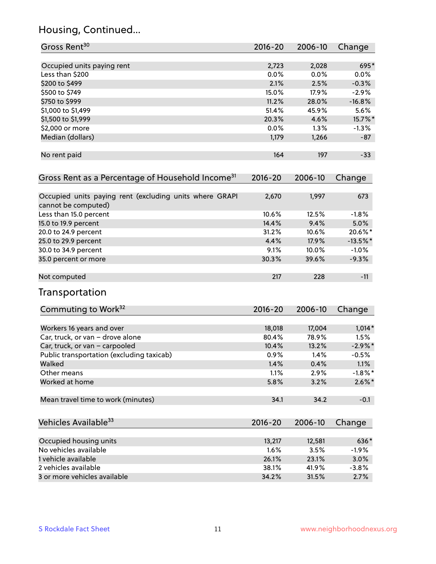## Housing, Continued...

| Occupied units paying rent<br>695*<br>2,723<br>2,028<br>0.0%<br>Less than \$200<br>0.0%<br>0.0%<br>\$200 to \$499<br>2.1%<br>2.5%<br>$-0.3%$<br>15.0%<br>\$500 to \$749<br>17.9%<br>$-2.9%$<br>11.2%<br>$-16.8%$<br>\$750 to \$999<br>28.0%<br>\$1,000 to \$1,499<br>51.4%<br>45.9%<br>5.6%<br>15.7%*<br>\$1,500 to \$1,999<br>20.3%<br>4.6%<br>0.0%<br>\$2,000 or more<br>1.3%<br>$-1.3%$<br>Median (dollars)<br>1,179<br>1,266<br>$-87$<br>No rent paid<br>164<br>197<br>$-33$<br>2006-10<br>2016-20<br>Change<br>2,670<br>1,997<br>673<br>cannot be computed)<br>10.6%<br>$-1.8%$<br>Less than 15.0 percent<br>12.5%<br>14.4%<br>9.4%<br>5.0%<br>15.0 to 19.9 percent<br>10.6%<br>20.6%*<br>20.0 to 24.9 percent<br>31.2%<br>25.0 to 29.9 percent<br>4.4%<br>17.9%<br>$-13.5\%$ *<br>30.0 to 34.9 percent<br>9.1%<br>10.0%<br>$-1.0%$<br>39.6%<br>35.0 percent or more<br>30.3%<br>$-9.3%$<br>228<br>217<br>$-11$<br>Commuting to Work <sup>32</sup><br>2016-20<br>2006-10<br>Change<br>18,018<br>17,004<br>$1,014*$<br>Workers 16 years and over<br>Car, truck, or van - drove alone<br>80.4%<br>78.9%<br>1.5%<br>$-2.9\%$ *<br>Car, truck, or van - carpooled<br>10.4%<br>13.2%<br>Public transportation (excluding taxicab)<br>0.9%<br>1.4%<br>$-0.5%$<br>Walked<br>1.4%<br>0.4%<br>1.1%<br>$-1.8%$ *<br>Other means<br>1.1%<br>2.9%<br>Worked at home<br>5.8%<br>3.2%<br>Mean travel time to work (minutes)<br>$-0.1$<br>34.1<br>34.2<br>2016-20<br>2006-10<br>Change<br>Occupied housing units<br>636*<br>13,217<br>12,581<br>No vehicles available<br>1.6%<br>3.5%<br>$-1.9%$<br>1 vehicle available<br>26.1%<br>23.1%<br>3.0%<br>2 vehicles available<br>38.1%<br>41.9%<br>$-3.8%$<br>31.5%<br>34.2%<br>2.7% | Gross Rent <sup>30</sup>                                     | 2016-20 | 2006-10 | Change    |
|------------------------------------------------------------------------------------------------------------------------------------------------------------------------------------------------------------------------------------------------------------------------------------------------------------------------------------------------------------------------------------------------------------------------------------------------------------------------------------------------------------------------------------------------------------------------------------------------------------------------------------------------------------------------------------------------------------------------------------------------------------------------------------------------------------------------------------------------------------------------------------------------------------------------------------------------------------------------------------------------------------------------------------------------------------------------------------------------------------------------------------------------------------------------------------------------------------------------------------------------------------------------------------------------------------------------------------------------------------------------------------------------------------------------------------------------------------------------------------------------------------------------------------------------------------------------------------------------------------------------------------------------------------------------------------------------------------------------|--------------------------------------------------------------|---------|---------|-----------|
|                                                                                                                                                                                                                                                                                                                                                                                                                                                                                                                                                                                                                                                                                                                                                                                                                                                                                                                                                                                                                                                                                                                                                                                                                                                                                                                                                                                                                                                                                                                                                                                                                                                                                                                        |                                                              |         |         |           |
|                                                                                                                                                                                                                                                                                                                                                                                                                                                                                                                                                                                                                                                                                                                                                                                                                                                                                                                                                                                                                                                                                                                                                                                                                                                                                                                                                                                                                                                                                                                                                                                                                                                                                                                        |                                                              |         |         |           |
|                                                                                                                                                                                                                                                                                                                                                                                                                                                                                                                                                                                                                                                                                                                                                                                                                                                                                                                                                                                                                                                                                                                                                                                                                                                                                                                                                                                                                                                                                                                                                                                                                                                                                                                        |                                                              |         |         |           |
|                                                                                                                                                                                                                                                                                                                                                                                                                                                                                                                                                                                                                                                                                                                                                                                                                                                                                                                                                                                                                                                                                                                                                                                                                                                                                                                                                                                                                                                                                                                                                                                                                                                                                                                        |                                                              |         |         |           |
|                                                                                                                                                                                                                                                                                                                                                                                                                                                                                                                                                                                                                                                                                                                                                                                                                                                                                                                                                                                                                                                                                                                                                                                                                                                                                                                                                                                                                                                                                                                                                                                                                                                                                                                        |                                                              |         |         |           |
|                                                                                                                                                                                                                                                                                                                                                                                                                                                                                                                                                                                                                                                                                                                                                                                                                                                                                                                                                                                                                                                                                                                                                                                                                                                                                                                                                                                                                                                                                                                                                                                                                                                                                                                        |                                                              |         |         |           |
|                                                                                                                                                                                                                                                                                                                                                                                                                                                                                                                                                                                                                                                                                                                                                                                                                                                                                                                                                                                                                                                                                                                                                                                                                                                                                                                                                                                                                                                                                                                                                                                                                                                                                                                        |                                                              |         |         |           |
|                                                                                                                                                                                                                                                                                                                                                                                                                                                                                                                                                                                                                                                                                                                                                                                                                                                                                                                                                                                                                                                                                                                                                                                                                                                                                                                                                                                                                                                                                                                                                                                                                                                                                                                        |                                                              |         |         |           |
|                                                                                                                                                                                                                                                                                                                                                                                                                                                                                                                                                                                                                                                                                                                                                                                                                                                                                                                                                                                                                                                                                                                                                                                                                                                                                                                                                                                                                                                                                                                                                                                                                                                                                                                        |                                                              |         |         |           |
|                                                                                                                                                                                                                                                                                                                                                                                                                                                                                                                                                                                                                                                                                                                                                                                                                                                                                                                                                                                                                                                                                                                                                                                                                                                                                                                                                                                                                                                                                                                                                                                                                                                                                                                        |                                                              |         |         |           |
|                                                                                                                                                                                                                                                                                                                                                                                                                                                                                                                                                                                                                                                                                                                                                                                                                                                                                                                                                                                                                                                                                                                                                                                                                                                                                                                                                                                                                                                                                                                                                                                                                                                                                                                        |                                                              |         |         |           |
|                                                                                                                                                                                                                                                                                                                                                                                                                                                                                                                                                                                                                                                                                                                                                                                                                                                                                                                                                                                                                                                                                                                                                                                                                                                                                                                                                                                                                                                                                                                                                                                                                                                                                                                        | Gross Rent as a Percentage of Household Income <sup>31</sup> |         |         |           |
|                                                                                                                                                                                                                                                                                                                                                                                                                                                                                                                                                                                                                                                                                                                                                                                                                                                                                                                                                                                                                                                                                                                                                                                                                                                                                                                                                                                                                                                                                                                                                                                                                                                                                                                        | Occupied units paying rent (excluding units where GRAPI      |         |         |           |
|                                                                                                                                                                                                                                                                                                                                                                                                                                                                                                                                                                                                                                                                                                                                                                                                                                                                                                                                                                                                                                                                                                                                                                                                                                                                                                                                                                                                                                                                                                                                                                                                                                                                                                                        |                                                              |         |         |           |
|                                                                                                                                                                                                                                                                                                                                                                                                                                                                                                                                                                                                                                                                                                                                                                                                                                                                                                                                                                                                                                                                                                                                                                                                                                                                                                                                                                                                                                                                                                                                                                                                                                                                                                                        |                                                              |         |         |           |
|                                                                                                                                                                                                                                                                                                                                                                                                                                                                                                                                                                                                                                                                                                                                                                                                                                                                                                                                                                                                                                                                                                                                                                                                                                                                                                                                                                                                                                                                                                                                                                                                                                                                                                                        |                                                              |         |         |           |
|                                                                                                                                                                                                                                                                                                                                                                                                                                                                                                                                                                                                                                                                                                                                                                                                                                                                                                                                                                                                                                                                                                                                                                                                                                                                                                                                                                                                                                                                                                                                                                                                                                                                                                                        |                                                              |         |         |           |
|                                                                                                                                                                                                                                                                                                                                                                                                                                                                                                                                                                                                                                                                                                                                                                                                                                                                                                                                                                                                                                                                                                                                                                                                                                                                                                                                                                                                                                                                                                                                                                                                                                                                                                                        |                                                              |         |         |           |
|                                                                                                                                                                                                                                                                                                                                                                                                                                                                                                                                                                                                                                                                                                                                                                                                                                                                                                                                                                                                                                                                                                                                                                                                                                                                                                                                                                                                                                                                                                                                                                                                                                                                                                                        |                                                              |         |         |           |
|                                                                                                                                                                                                                                                                                                                                                                                                                                                                                                                                                                                                                                                                                                                                                                                                                                                                                                                                                                                                                                                                                                                                                                                                                                                                                                                                                                                                                                                                                                                                                                                                                                                                                                                        |                                                              |         |         |           |
|                                                                                                                                                                                                                                                                                                                                                                                                                                                                                                                                                                                                                                                                                                                                                                                                                                                                                                                                                                                                                                                                                                                                                                                                                                                                                                                                                                                                                                                                                                                                                                                                                                                                                                                        | Not computed                                                 |         |         |           |
|                                                                                                                                                                                                                                                                                                                                                                                                                                                                                                                                                                                                                                                                                                                                                                                                                                                                                                                                                                                                                                                                                                                                                                                                                                                                                                                                                                                                                                                                                                                                                                                                                                                                                                                        | Transportation                                               |         |         |           |
|                                                                                                                                                                                                                                                                                                                                                                                                                                                                                                                                                                                                                                                                                                                                                                                                                                                                                                                                                                                                                                                                                                                                                                                                                                                                                                                                                                                                                                                                                                                                                                                                                                                                                                                        |                                                              |         |         |           |
|                                                                                                                                                                                                                                                                                                                                                                                                                                                                                                                                                                                                                                                                                                                                                                                                                                                                                                                                                                                                                                                                                                                                                                                                                                                                                                                                                                                                                                                                                                                                                                                                                                                                                                                        |                                                              |         |         |           |
|                                                                                                                                                                                                                                                                                                                                                                                                                                                                                                                                                                                                                                                                                                                                                                                                                                                                                                                                                                                                                                                                                                                                                                                                                                                                                                                                                                                                                                                                                                                                                                                                                                                                                                                        |                                                              |         |         |           |
|                                                                                                                                                                                                                                                                                                                                                                                                                                                                                                                                                                                                                                                                                                                                                                                                                                                                                                                                                                                                                                                                                                                                                                                                                                                                                                                                                                                                                                                                                                                                                                                                                                                                                                                        |                                                              |         |         |           |
|                                                                                                                                                                                                                                                                                                                                                                                                                                                                                                                                                                                                                                                                                                                                                                                                                                                                                                                                                                                                                                                                                                                                                                                                                                                                                                                                                                                                                                                                                                                                                                                                                                                                                                                        |                                                              |         |         |           |
|                                                                                                                                                                                                                                                                                                                                                                                                                                                                                                                                                                                                                                                                                                                                                                                                                                                                                                                                                                                                                                                                                                                                                                                                                                                                                                                                                                                                                                                                                                                                                                                                                                                                                                                        |                                                              |         |         |           |
|                                                                                                                                                                                                                                                                                                                                                                                                                                                                                                                                                                                                                                                                                                                                                                                                                                                                                                                                                                                                                                                                                                                                                                                                                                                                                                                                                                                                                                                                                                                                                                                                                                                                                                                        |                                                              |         |         |           |
|                                                                                                                                                                                                                                                                                                                                                                                                                                                                                                                                                                                                                                                                                                                                                                                                                                                                                                                                                                                                                                                                                                                                                                                                                                                                                                                                                                                                                                                                                                                                                                                                                                                                                                                        |                                                              |         |         | $2.6\%$ * |
|                                                                                                                                                                                                                                                                                                                                                                                                                                                                                                                                                                                                                                                                                                                                                                                                                                                                                                                                                                                                                                                                                                                                                                                                                                                                                                                                                                                                                                                                                                                                                                                                                                                                                                                        |                                                              |         |         |           |
|                                                                                                                                                                                                                                                                                                                                                                                                                                                                                                                                                                                                                                                                                                                                                                                                                                                                                                                                                                                                                                                                                                                                                                                                                                                                                                                                                                                                                                                                                                                                                                                                                                                                                                                        | Vehicles Available <sup>33</sup>                             |         |         |           |
|                                                                                                                                                                                                                                                                                                                                                                                                                                                                                                                                                                                                                                                                                                                                                                                                                                                                                                                                                                                                                                                                                                                                                                                                                                                                                                                                                                                                                                                                                                                                                                                                                                                                                                                        |                                                              |         |         |           |
|                                                                                                                                                                                                                                                                                                                                                                                                                                                                                                                                                                                                                                                                                                                                                                                                                                                                                                                                                                                                                                                                                                                                                                                                                                                                                                                                                                                                                                                                                                                                                                                                                                                                                                                        |                                                              |         |         |           |
|                                                                                                                                                                                                                                                                                                                                                                                                                                                                                                                                                                                                                                                                                                                                                                                                                                                                                                                                                                                                                                                                                                                                                                                                                                                                                                                                                                                                                                                                                                                                                                                                                                                                                                                        |                                                              |         |         |           |
|                                                                                                                                                                                                                                                                                                                                                                                                                                                                                                                                                                                                                                                                                                                                                                                                                                                                                                                                                                                                                                                                                                                                                                                                                                                                                                                                                                                                                                                                                                                                                                                                                                                                                                                        |                                                              |         |         |           |
|                                                                                                                                                                                                                                                                                                                                                                                                                                                                                                                                                                                                                                                                                                                                                                                                                                                                                                                                                                                                                                                                                                                                                                                                                                                                                                                                                                                                                                                                                                                                                                                                                                                                                                                        | 3 or more vehicles available                                 |         |         |           |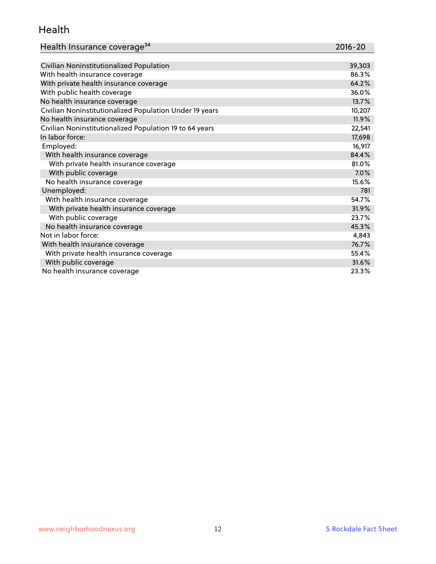#### Health

| Health Insurance coverage <sup>34</sup> | 2016-20 |
|-----------------------------------------|---------|
|-----------------------------------------|---------|

| Civilian Noninstitutionalized Population                | 39,303 |
|---------------------------------------------------------|--------|
| With health insurance coverage                          | 86.3%  |
| With private health insurance coverage                  | 64.2%  |
| With public health coverage                             | 36.0%  |
| No health insurance coverage                            | 13.7%  |
| Civilian Noninstitutionalized Population Under 19 years | 10,207 |
| No health insurance coverage                            | 11.9%  |
| Civilian Noninstitutionalized Population 19 to 64 years | 22,541 |
| In labor force:                                         | 17,698 |
| Employed:                                               | 16,917 |
| With health insurance coverage                          | 84.4%  |
| With private health insurance coverage                  | 81.0%  |
| With public coverage                                    | 7.0%   |
| No health insurance coverage                            | 15.6%  |
| Unemployed:                                             | 781    |
| With health insurance coverage                          | 54.7%  |
| With private health insurance coverage                  | 31.9%  |
| With public coverage                                    | 23.7%  |
| No health insurance coverage                            | 45.3%  |
| Not in labor force:                                     | 4,843  |
| With health insurance coverage                          | 76.7%  |
| With private health insurance coverage                  | 55.4%  |
| With public coverage                                    | 31.6%  |
| No health insurance coverage                            | 23.3%  |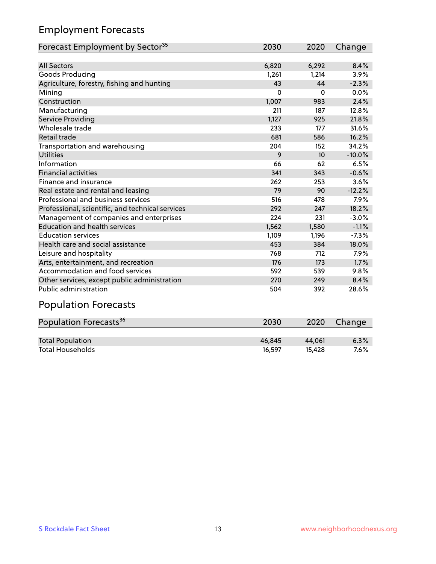## Employment Forecasts

| Forecast Employment by Sector <sup>35</sup>      | 2030  | 2020  | Change   |
|--------------------------------------------------|-------|-------|----------|
|                                                  |       |       |          |
| <b>All Sectors</b>                               | 6,820 | 6,292 | 8.4%     |
| Goods Producing                                  | 1,261 | 1,214 | 3.9%     |
| Agriculture, forestry, fishing and hunting       | 43    | 44    | $-2.3%$  |
| Mining                                           | 0     | 0     | 0.0%     |
| Construction                                     | 1,007 | 983   | 2.4%     |
| Manufacturing                                    | 211   | 187   | 12.8%    |
| Service Providing                                | 1,127 | 925   | 21.8%    |
| Wholesale trade                                  | 233   | 177   | 31.6%    |
| Retail trade                                     | 681   | 586   | 16.2%    |
| Transportation and warehousing                   | 204   | 152   | 34.2%    |
| Utilities                                        | 9     | 10    | $-10.0%$ |
| Information                                      | 66    | 62    | 6.5%     |
| <b>Financial activities</b>                      | 341   | 343   | $-0.6%$  |
| Finance and insurance                            | 262   | 253   | 3.6%     |
| Real estate and rental and leasing               | 79    | 90    | $-12.2%$ |
| Professional and business services               | 516   | 478   | 7.9%     |
| Professional, scientific, and technical services | 292   | 247   | 18.2%    |
| Management of companies and enterprises          | 224   | 231   | $-3.0%$  |
| <b>Education and health services</b>             | 1,562 | 1,580 | $-1.1%$  |
| <b>Education services</b>                        | 1,109 | 1,196 | $-7.3%$  |
| Health care and social assistance                | 453   | 384   | 18.0%    |
| Leisure and hospitality                          | 768   | 712   | 7.9%     |
| Arts, entertainment, and recreation              | 176   | 173   | 1.7%     |
| Accommodation and food services                  | 592   | 539   | 9.8%     |
| Other services, except public administration     | 270   | 249   | 8.4%     |
| Public administration                            | 504   | 392   | 28.6%    |
| للمحمد مسجل مستلمل بمسحا                         |       |       |          |

#### Population Forecasts

| Population Forecasts <sup>36</sup> | 2030   | 2020   | Change |
|------------------------------------|--------|--------|--------|
|                                    |        |        |        |
| <b>Total Population</b>            | 46.845 | 44.061 | 6.3%   |
| <b>Total Households</b>            | 16.597 | 15.428 | 7.6%   |